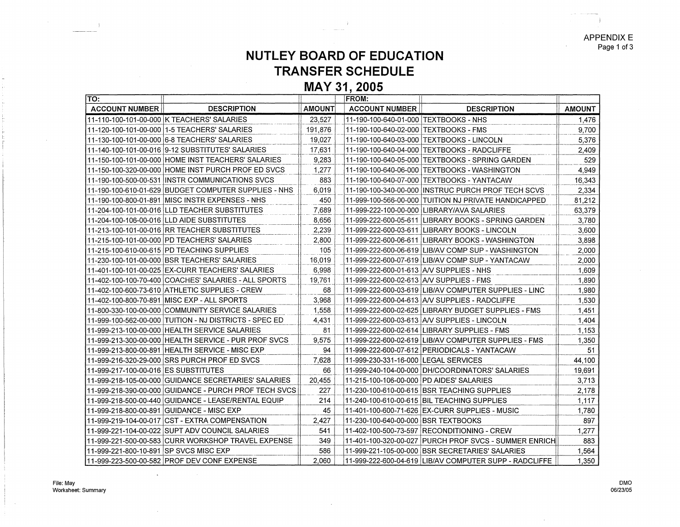APPENDIX E Page 1 of 3

## **NUTLEY BOARD OF EDUCATION TRANSFER SCHEDULE**

**MAY 31, 2005** 

| TO:                                      |                                                        |               | <b>FROM:</b>                             |                                                         |               |
|------------------------------------------|--------------------------------------------------------|---------------|------------------------------------------|---------------------------------------------------------|---------------|
| <b>ACCOUNT NUMBER</b>                    | <b>DESCRIPTION</b>                                     | <b>AMOUNT</b> | <b>ACCOUNT NUMBER</b>                    | <b>DESCRIPTION</b>                                      | <b>AMOUNT</b> |
|                                          | 11-110-100-101-00-000 K TEACHERS' SALARIES             | 23.527        | 11-190-100-640-01-000 TEXTBOOKS - NHS    |                                                         | 1.476         |
|                                          |                                                        | 191,876       | 11-190-100-640-02-000   TEXTBOOKS - FMS  |                                                         | 9.700         |
|                                          | 11-130-100-101-00-000 6-8 TEACHERS' SALARIES           | 19,027        |                                          | 11-190-100-640-03-000 TEXTBOOKS - LINCOLN               | 5,376         |
|                                          | 11-140-100-101-00-016 9-12 SUBSTITUTES' SALARIES       | 17.631        |                                          | 11-190-100-640-04-000 TEXTBOOKS - RADCLIFFE             | 2.409         |
|                                          | 11-150-100-101-00-000 HOME INST TEACHERS' SALARIES     | 9.283         |                                          | 11-190-100-640-05-000 TEXTBOOKS - SPRING GARDEN         | 529           |
|                                          | 11-150-100-320-00-000 HOME INST PURCH PROF ED SVCS     | 1.277         |                                          | 11-190-100-640-06-000 TEXTBOOKS - WASHINGTON            | 4,949         |
|                                          | 11-190-100-500-00-531 INSTR COMMUNICATIONS SVCS        | 883           |                                          | 11-190-100-640-07-000 TEXTBOOKS - YANTACAW              | 16,343        |
|                                          | 11-190-100-610-01-629 BUDGET COMPUTER SUPPLIES - NHS   | 6,019         |                                          | 11-190-100-340-00-000 INSTRUC PURCH PROF TECH SCVS      | 2,334         |
|                                          | 11-190-100-800-01-891 MISC INSTR EXPENSES - NHS        | 450           |                                          | 11-999-100-566-00-000 TUITION NJ PRIVATE HANDICAPPED    | 81,212        |
|                                          | 11-204-100-101-00-016 LLD TEACHER SUBSTITUTES          | 7.689         |                                          | 11-999-222-100-00-000 LIBRARY/AVA SALARIES              | 63,379        |
|                                          | 11-204-100-106-00-016 ILLD AIDE SUBSTITUTES            | 8.656         |                                          | 11-999-222-600-05-611 LIBRARY BOOKS - SPRING GARDEN     | 3,780         |
|                                          | 11-213-100-101-00-016 RR TEACHER SUBSTITUTES           | 2.239         |                                          | 11-999-222-600-03-611   LIBRARY BOOKS - LINCOLN         | 3,600         |
|                                          |                                                        | 2,800         |                                          | 11-999-222-600-06-611 LIBRARY BOOKS - WASHINGTON        | 3.898         |
|                                          | 11-215-100-610-00-615 PD TEACHING SUPPLIES             | 105           |                                          | 11-999-222-600-06-619 LIB/AV COMP SUP - WASHINGTON      | 2,000         |
|                                          | 11-230-100-101-00-000 IBSR TEACHERS' SALARIES          | 16,019        |                                          | 11-999-222-600-07-619 LIB/AV COMP SUP - YANTACAW        | 2,000         |
|                                          | 11-401-100-101-00-025 EX-CURR TEACHERS' SALARIES       | 6.998         | 11-999-222-600-01-613 AV SUPPLIES - NHS  |                                                         | 1,609         |
|                                          | 11-402-100-100-70-400 COACHES' SALARIES - ALL SPORTS   | 19,761        | 11-999-222-600-02-613 A/V SUPPLIES - FMS |                                                         | 1.890         |
|                                          | 11-402-100-600-73-610 ATHLETIC SUPPLIES - CREW         | 68            |                                          | 11-999-222-600-03-619   LIB/AV COMPUTER SUPPLIES - LINC | 1.980         |
|                                          | 11-402-100-800-70-891 MISC EXP - ALL SPORTS            | 3.968         |                                          | 11-999-222-600-04-613 A/V SUPPLIES - RADCLIFFE          | 1,530         |
|                                          |                                                        | 1.558         |                                          | 11-999-222-600-02-625 LIBRARY BUDGET SUPPLIES - FMS     | 1,451         |
|                                          | 11-999-100-562-00-000 TUITION - NJ DISTRICTS - SPEC ED | 4,431         |                                          | 11-999-222-600-03-613 AV SUPPLIES - LINCOLN             | 1,404         |
|                                          | 11-999-213-100-00-000 HEALTH SERVICE SALARIES          | 81            |                                          | 11-999-222-600-02-614 LIBRARY SUPPLIES - FMS            | 1,153         |
|                                          | 11-999-213-300-00-000 HEALTH SERVICE - PUR PROF SVCS   | 9.575         |                                          | 11-999-222-600-02-619 LIB/AV COMPUTER SUPPLIES - FMS    | 1,350         |
|                                          | 11-999-213-800-00-891 HEALTH SERVICE - MISC EXP        | 94            |                                          | 11-999-222-600-07-612 PERIODICALS - YANTACAW            | 51            |
|                                          | 11-999-216-320-29-000 SRS PURCH PROF ED SVCS           | 7,628         | 11-999-230-331-16-000 LEGAL SERVICES     |                                                         | 44,100        |
| 11-999-217-100-00-016 ES SUBSTITUTES     |                                                        | 66            |                                          | 11-999-240-104-00-000 DH/COORDINATORS' SALARIES         | 19,691        |
|                                          | 11-999-218-105-00-000 GUIDANCE SECRETARIES' SALARIES   | 20.455        | 11-215-100-106-00-000 PD AIDES' SALARIES |                                                         | 3.713         |
|                                          | 11-999-218-390-00-000 GUIDANCE - PURCH PROF TECH SVCS  | 227           |                                          | 11-230-100-610-00-615 BSR TEACHING SUPPLIES             | 2,178         |
|                                          | 11-999-218-500-00-440 GUIDANCE - LEASE/RENTAL EQUIP    | 214           |                                          | 11-240-100-610-00-615   BIL TEACHING SUPPLIES           | 1,117         |
|                                          | 11-999-218-800-00-891 GUIDANCE - MISC EXP              | 45            |                                          | 11-401-100-600-71-626 EX-CURR SUPPLIES - MUSIC          | 1.780         |
|                                          | 11-999-219-104-00-017 CST - EXTRA COMPENSATION         | 2,427         | 11-230-100-640-00-000 BSR TEXTBOOKS      |                                                         | 897           |
|                                          | 11-999-221-104-00-022 SUPT ADV COUNCIL SALARIES        | 541           |                                          | 11-402-100-500-73-597 RECONDITIONING - CREW             | 1.277         |
|                                          | 11-999-221-500-00-583 CURR WORKSHOP TRAVEL EXPENSE     | 349           | 11-401-100-320-00-027                    | IPURCH PROF SVCS - SUMMER ENRICH                        | 883           |
| 111-999-221-800-10-891 ISP SVCS MISC EXP |                                                        | 586           |                                          | 11-999-221-105-00-000 BSR SECRETARIES' SALARIES         | 1.564         |
|                                          | 111-999-223-500-00-582 PROF DEV CONF EXPENSE           | 2.060         |                                          | 11-999-222-600-04-619 LIB/AV COMPUTER SUPP - RADCLIFFE  | 1,350         |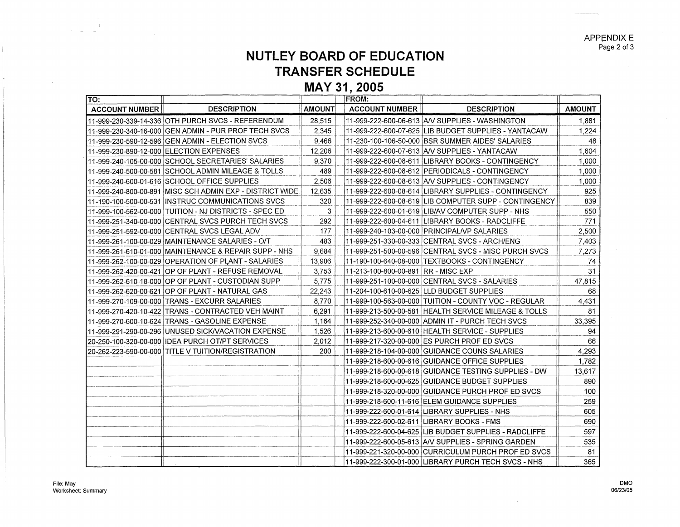APPENDIX E Page 2 of 3

## **NUTLEY BOARD OF EDUCATION TRANSFER SCHEDULE**

**MAY 31, 2005** 

| TO:                                     |                                                           |               | <b>FROM:</b>                         |                                                         |               |
|-----------------------------------------|-----------------------------------------------------------|---------------|--------------------------------------|---------------------------------------------------------|---------------|
| <b>ACCOUNT NUMBER</b>                   | <b>DESCRIPTION</b>                                        | <b>AMOUNT</b> | <b>ACCOUNT NUMBER</b>                | <b>DESCRIPTION</b>                                      | <b>AMOUNT</b> |
|                                         | 11-999-230-339-14-336 OTH PURCH SVCS - REFERENDUM         | 28.515        |                                      | 11-999-222-600-06-613   A/V SUPPLIES - WASHINGTON       | 1.881         |
|                                         | 11-999-230-340-16-000 GEN ADMIN - PUR PROF TECH SVCS      | 2.345         |                                      | 11-999-222-600-07-625 LIB BUDGET SUPPLIES - YANTACAW    | 1,224         |
|                                         | 11-999-230-590-12-596 GEN ADMIN - ELECTION SVCS           | 9.466         |                                      | 11-230-100-106-50-000 BSR SUMMER AIDES' SALARIES        | 48            |
| 11-999-230-890-12-000 ELECTION EXPENSES |                                                           | 12,206        |                                      | 11-999-222-600-07-613   A/V SUPPLIES - YANTACAW         | 1.604         |
|                                         | 11-999-240-105-00-000 SCHOOL SECRETARIES' SALARIES        | 9,370         |                                      | 11-999-222-600-08-611 LIBRARY BOOKS - CONTINGENCY       | 1,000         |
|                                         | 11-999-240-500-00-581 SCHOOL ADMIN MILEAGE & TOLLS        | 489           |                                      | 11-999-222-600-08-612 PERIODICALS - CONTINGENCY         | 1,000         |
|                                         | 11-999-240-600-01-616 SCHOOL OFFICE SUPPLIES              | 2.506         |                                      | 11-999-222-600-08-613 A/V SUPPLIES - CONTINGENCY        | 1.000         |
|                                         | 11-999-240-800-00-891 IMISC SCH ADMIN EXP - DISTRICT WIDE | 12,635        |                                      | 11-999-222-600-08-614  LIBRARY SUPPLIES - CONTINGENCY   | 925           |
|                                         | 11-190-100-500-00-531  INSTRUC COMMUNICATIONS SVCS        | 320           |                                      |                                                         | 839           |
|                                         | 11-999-100-562-00-000 TUITION - NJ DISTRICTS - SPEC ED    | 3             |                                      | 11-999-222-600-01-619  LIB/AV COMPUTER SUPP - NHS       | 550           |
|                                         | 11-999-251-340-00-000 CENTRAL SVCS PURCH TECH SVCS        | 292           |                                      | 11-999-222-600-04-611  LIBRARY BOOKS - RADCLIFFE        | 771           |
|                                         | 11-999-251-592-00-000 CENTRAL SVCS LEGAL ADV              | 177           |                                      | 11-999-240-103-00-000 PRINCIPAL/VP SALARIES             | 2,500         |
|                                         | 11-999-261-100-00-029 MAINTENANCE SALARIES - O/T          | 483           |                                      |                                                         | 7.403         |
|                                         | 11-999-261-610-01-000 MAINTENANCE & REPAIR SUPP - NHS     | 9.684         |                                      | 11-999-251-500-00-596 CENTRAL SVCS - MISC PURCH SVCS    | 7,273         |
|                                         | 11-999-262-100-00-029 OPERATION OF PLANT - SALARIES       | 13.906        |                                      | 11-190-100-640-08-000 TEXTBOOKS - CONTINGENCY           | 74            |
|                                         | 11-999-262-420-00-421 OP OF PLANT - REFUSE REMOVAL        | 3.753         | 11-213-100-800-00-891 IRR - MISC EXP |                                                         | 31            |
|                                         | 11-999-262-610-18-000 OP OF PLANT - CUSTODIAN SUPP        | 5.775         |                                      |                                                         | 47,815        |
|                                         | 11-999-262-620-00-621 OP OF PLANT - NATURAL GAS           | 22,243        |                                      | 11-204-100-610-00-625 LLD BUDGET SUPPLIES               | 68            |
|                                         | 11-999-270-109-00-000 TRANS - EXCURR SALARIES             | 8.770         |                                      | 11-999-100-563-00-000 TUITION - COUNTY VOC - REGULAR    | 4,431         |
|                                         | 11-999-270-420-10-422 TRANS - CONTRACTED VEH MAINT        | 6,291         |                                      | 11-999-213-500-00-581 HEALTH SERVICE MILEAGE & TOLLS    | 81            |
|                                         | 11-999-270-600-10-624 TRANS - GASOLINE EXPENSE            | 1,164         |                                      | 11-999-252-340-00-000 ADMIN IT - PURCH TECH SVCS        | 33,395        |
|                                         | 11-999-291-290-00-296 UNUSED SICK/VACATION EXPENSE        | 1.526         |                                      | 11-999-213-600-00-610 HEALTH SERVICE - SUPPLIES         | 94            |
|                                         | 20-250-100-320-00-000 IDEA PURCH OT/PT SERVICES           | 2,012         |                                      | 11-999-217-320-00-000 ES PURCH PROF ED SVCS             | 66            |
|                                         | 20-262-223-590-00-000 TITLE V TUITION/REGISTRATION        | 200           |                                      | 11-999-218-104-00-000 GUIDANCE COUNS SALARIES           | 4,293         |
|                                         |                                                           |               |                                      | 11-999-218-600-00-616 GUIDANCE OFFICE SUPPLIES          | 1,782         |
|                                         |                                                           |               |                                      | 11-999-218-600-00-618 GUIDANCE TESTING SUPPLIES - DW    | 13,617        |
|                                         |                                                           |               |                                      | 11-999-218-600-00-625 GUIDANCE BUDGET SUPPLIES          | 890           |
|                                         |                                                           |               |                                      | 11-999-218-320-00-000 GUIDANCE PURCH PROF ED SVCS       | 100           |
|                                         |                                                           |               |                                      | 11-999-218-600-11-616 ELEM GUIDANCE SUPPLIES            | 259           |
|                                         |                                                           |               |                                      | 11-999-222-600-01-614   LIBRARY SUPPLIES - NHS          | 605           |
|                                         |                                                           |               |                                      | 11-999-222-600-02-611 LIBRARY BOOKS - FMS               | 690           |
|                                         |                                                           |               |                                      | 11-999-222-600-04-625   LIB BUDGET SUPPLIES - RADCLIFFE | 597           |
|                                         |                                                           |               |                                      | 11-999-222-600-05-613 A/V SUPPLIES - SPRING GARDEN      | 535           |
|                                         |                                                           |               |                                      | 11-999-221-320-00-000 CURRICULUM PURCH PROF ED SVCS     | 81            |
|                                         |                                                           |               |                                      | 11-999-222-300-01-000 LIBRARY PURCH TECH SVCS - NHS     | 365           |

 $\blacksquare$ 

 $\ddot{\phantom{a}}$